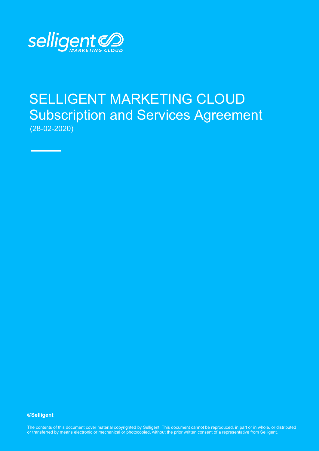

# SELLIGENT MARKETING CLOUD Subscription and Services Agreement (28-02-2020)

**©Selligent** 

The contents of this document cover material copyrighted by Selligent. This document cannot be reproduced, in part or in whole, or distributed or transferred by means electronic or mechanical or photocopied, without the prior written consent of a representative from Selligent.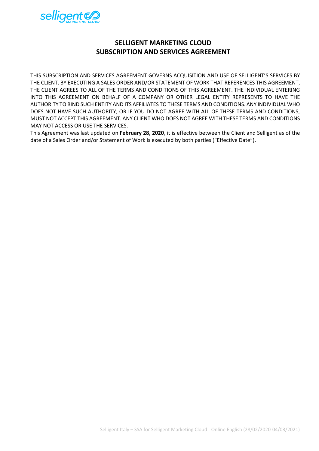

# **SELLIGENT MARKETING CLOUD SUBSCRIPTION AND SERVICES AGREEMENT**

THIS SUBSCRIPTION AND SERVICES AGREEMENT GOVERNS ACQUISITION AND USE OF SELLIGENT'S SERVICES BY THE CLIENT. BY EXECUTING A SALES ORDER AND/OR STATEMENT OF WORK THAT REFERENCES THIS AGREEMENT, THE CLIENT AGREES TO ALL OF THE TERMS AND CONDITIONS OF THIS AGREEMENT. THE INDIVIDUAL ENTERING INTO THIS AGREEMENT ON BEHALF OF A COMPANY OR OTHER LEGAL ENTITY REPRESENTS TO HAVE THE AUTHORITY TO BIND SUCH ENTITY AND ITS AFFILIATES TO THESE TERMS AND CONDITIONS. ANY INDIVIDUAL WHO DOES NOT HAVE SUCH AUTHORITY, OR IF YOU DO NOT AGREE WITH ALL OF THESE TERMS AND CONDITIONS, MUST NOT ACCEPT THIS AGREEMENT. ANY CLIENT WHO DOES NOT AGREE WITH THESE TERMS AND CONDITIONS MAY NOT ACCESS OR USE THE SERVICES.

This Agreement was last updated on **February 28, 2020**, it is effective between the Client and Selligent as of the date of a Sales Order and/or Statement of Work is executed by both parties ("Effective Date").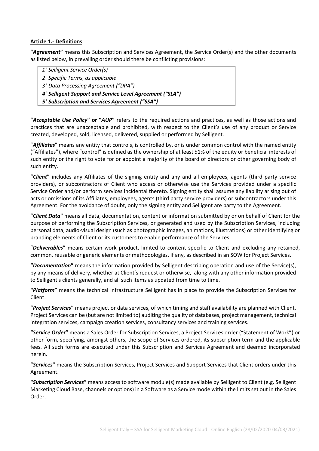#### **Article 1.- Definitions**

**"***Agreement***"** means this Subscription and Services Agreement, the Service Order(s) and the other documents as listed below, in prevailing order should there be conflicting provisions:

| 1° Selligent Service Order(s)                            |
|----------------------------------------------------------|
| 2° Specific Terms, as applicable                         |
| 3° Data Processing Agreement ("DPA")                     |
| 4° Selligent Support and Service Level Agreement ("SLA") |
| 5° Subscription and Services Agreement ("SSA")           |
|                                                          |

**"***Acceptable Use Policy***" or "***AUP***"** refers to the required actions and practices, as well as those actions and practices that are unacceptable and prohibited, with respect to the Client's use of any product or Service created, developed, sold, licensed, delivered, supplied or performed by Selligent.

"*Affiliates*" means any entity that controls, is controlled by, or is under common control with the named entity ("Affiliates"), where "control" is defined as the ownership of at least 51% of the equity or beneficial interests of such entity or the right to vote for or appoint a majority of the board of directors or other governing body of such entity.

**"***Client***"** includes any Affiliates of the signing entity and any and all employees, agents (third party service providers), or subcontractors of Client who access or otherwise use the Services provided under a specific Service Order and/or perform services incidental thereto. Signing entity shall assume any liability arising out of acts or omissions of its Affiliates, employees, agents (third party service providers) or subcontractors under this Agreement. For the avoidance of doubt, only the signing entity and Selligent are party to the Agreement.

**"***Client Data***"** means all data, documentation, content or information submitted by or on behalf of Client for the purpose of performing the Subscription Services, or generated and used by the Subscription Services, including personal data, audio-visual design (such as photographic images, animations, illustrations) or other identifying or branding elements of Client or its customers to enable performance of the Services.

"*Deliverables*" means certain work product, limited to content specific to Client and excluding any retained, common, reusable or generic elements or methodologies, if any, as described in an SOW for Project Services.

**"***Documentation***"** means the information provided by Selligent describing operation and use of the Service(s), by any means of delivery, whether at Client's request or otherwise, along with any other information provided to Selligent's clients generally, and all such items as updated from time to time.

**"***Platform***"** means the technical infrastructure Selligent has in place to provide the Subscription Services for Client.

**"***Project Services***"** means project or data services, of which timing and staff availability are planned with Client. Project Services can be (but are not limited to) auditing the quality of databases, project management, technical integration services, campaign creation services, consultancy services and training services.

**"***Service Order***"** means a Sales Order for Subscription Services, a Project Services order ("Statement of Work") or other form, specifying, amongst others, the scope of Services ordered, its subscription term and the applicable fees. All such forms are executed under this Subscription and Services Agreement and deemed incorporated herein.

**"***Services***"** means the Subscription Services, Project Services and Support Services that Client orders under this Agreement.

**"***Subscription Services***"** means access to software module(s) made available by Selligent to Client (e.g. Selligent Marketing Cloud Base, channels or options) in a Software as a Service mode within the limits set out in the Sales Order.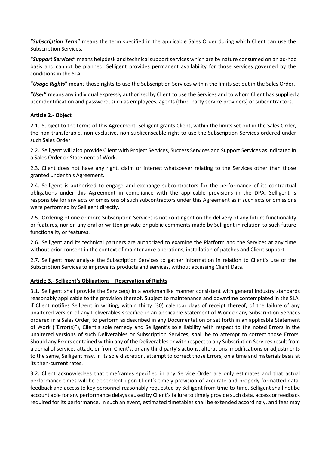**"***Subscription Term***"** means the term specified in the applicable Sales Order during which Client can use the Subscription Services.

**"***Support Services***"** means helpdesk and technical support services which are by nature consumed on an ad-hoc basis and cannot be planned. Selligent provides permanent availability for those services governed by the conditions in the SLA.

**"***Usage Rights***"** means those rights to use the Subscription Services within the limits set out in the Sales Order.

**"***User***"** means any individual expressly authorized by Client to use the Services and to whom Client has supplied a user identification and password, such as employees, agents (third-party service providers) or subcontractors.

# **Article 2.- Object**

2.1. Subject to the terms of this Agreement, Selligent grants Client, within the limits set out in the Sales Order, the non-transferable, non-exclusive, non-sublicenseable right to use the Subscription Services ordered under such Sales Order.

2.2. Selligent will also provide Client with Project Services, Success Services and Support Services as indicated in a Sales Order or Statement of Work.

2.3. Client does not have any right, claim or interest whatsoever relating to the Services other than those granted under this Agreement.

2.4. Selligent is authorised to engage and exchange subcontractors for the performance of its contractual obligations under this Agreement in compliance with the applicable provisions in the DPA. Selligent is responsible for any acts or omissions of such subcontractors under this Agreement as if such acts or omissions were performed by Selligent directly.

2.5. Ordering of one or more Subscription Services is not contingent on the delivery of any future functionality or features, nor on any oral or written private or public comments made by Selligent in relation to such future functionality or features.

2.6. Selligent and its technical partners are authorized to examine the Platform and the Services at any time without prior consent in the context of maintenance operations, installation of patches and Client support.

2.7. Selligent may analyse the Subscription Services to gather information in relation to Client's use of the Subscription Services to improve its products and services, without accessing Client Data.

#### **Article 3.- Selligent's Obligations – Reservation of Rights**

3.1. Selligent shall provide the Service(s) in a workmanlike manner consistent with general industry standards reasonably applicable to the provision thereof. Subject to maintenance and downtime contemplated in the SLA, if Client notifies Selligent in writing, within thirty (30) calendar days of receipt thereof, of the failure of any unaltered version of any Deliverables specified in an applicable Statement of Work or any Subscription Services ordered in a Sales Order, to perform as described in any Documentation or set forth in an applicable Statement of Work ("Error(s)"), Client's sole remedy and Selligent's sole liability with respect to the noted Errors in the unaltered versions of such Deliverables or Subscription Services, shall be to attempt to correct those Errors. Should any Errors contained within any of the Deliverables or with respect to any Subscription Services result from a denial of services attack, or from Client's, or any third party's actions, alterations, modifications or adjustments to the same, Selligent may, in its sole discretion, attempt to correct those Errors, on a time and materials basis at its then-current rates.

3.2. Client acknowledges that timeframes specified in any Service Order are only estimates and that actual performance times will be dependent upon Client's timely provision of accurate and properly formatted data, feedback and access to key personnel reasonably requested by Selligent from time-to-time. Selligent shall not be account able for any performance delays caused by Client's failure to timely provide such data, access or feedback required for its performance. In such an event, estimated timetables shall be extended accordingly, and fees may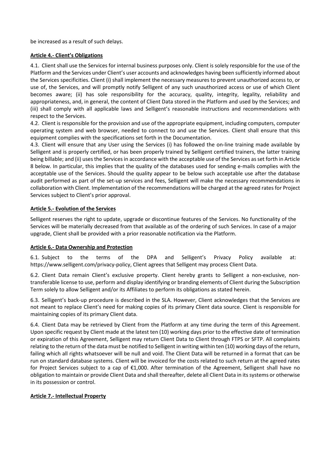be increased as a result of such delays.

# **Article 4.- Client's Obligations**

4.1. Client shall use the Services for internal business purposes only. Client is solely responsible for the use of the Platform and the Services under Client's user accounts and acknowledges having been sufficiently informed about the Services specificities. Client (i) shall implement the necessary measures to prevent unauthorized access to, or use of, the Services, and will promptly notify Selligent of any such unauthorized access or use of which Client becomes aware; (ii) has sole responsibility for the accuracy, quality, integrity, legality, reliability and appropriateness, and, in general, the content of Client Data stored in the Platform and used by the Services; and (iii) shall comply with all applicable laws and Selligent's reasonable instructions and recommendations with respect to the Services.

4.2. Client is responsible for the provision and use of the appropriate equipment, including computers, computer operating system and web browser, needed to connect to and use the Services. Client shall ensure that this equipment complies with the specifications set forth in the Documentation.

4.3. Client will ensure that any User using the Services (i) has followed the on-line training made available by Selligent and is properly certified, or has been properly trained by Selligent certified trainers, the latter training being billable; and (ii) uses the Services in accordance with the acceptable use of the Services as set forth in Article 8 below. In particular, this implies that the quality of the databases used for sending e-mails complies with the acceptable use of the Services. Should the quality appear to be below such acceptable use after the database audit performed as part of the set-up services and fees, Selligent will make the necessary recommendations in collaboration with Client. Implementation of the recommendations will be charged at the agreed rates for Project Services subject to Client's prior approval.

#### **Article 5.- Evolution of the Services**

Selligent reserves the right to update, upgrade or discontinue features of the Services. No functionality of the Services will be materially decreased from that available as of the ordering of such Services. In case of a major upgrade, Client shall be provided with a prior reasonable notification via the Platform.

# **Article 6.- Data Ownership and Protection**

6.1. Subject to the terms of the DPA and Selligent's Privacy Policy available at: https://www.selligent.com/privacy-policy, Client agrees that Selligent may process Client Data.

6.2. Client Data remain Client's exclusive property. Client hereby grants to Selligent a non-exclusive, nontransferable license to use, perform and display identifying or branding elements of Client during the Subscription Term solely to allow Selligent and/or its Affiliates to perform its obligations as stated herein.

6.3. Selligent's back-up procedure is described in the SLA. However, Client acknowledges that the Services are not meant to replace Client's need for making copies of its primary Client data source. Client is responsible for maintaining copies of its primary Client data.

6.4. Client Data may be retrieved by Client from the Platform at any time during the term of this Agreement. Upon specific request by Client made at the latest ten (10) working days prior to the effective date of termination or expiration of this Agreement, Selligent may return Client Data to Client through FTPS or SFTP. All complaints relating to the return of the data must be notified to Selligent in writing within ten (10) working days of the return, failing which all rights whatsoever will be null and void. The Client Data will be returned in a format that can be run on standard database systems. Client will be invoiced for the costs related to such return at the agreed rates for Project Services subject to a cap of €1,000. After termination of the Agreement, Selligent shall have no obligation to maintain or provide Client Data and shall thereafter, delete all Client Data in its systems or otherwise in its possession or control.

#### **Article 7.- Intellectual Property**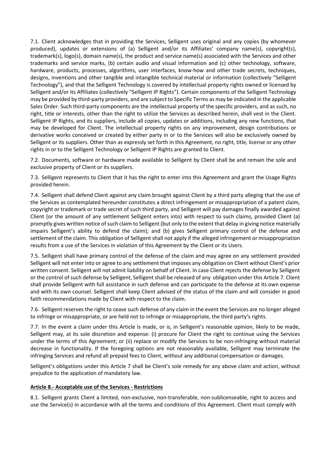7.1. Client acknowledges that in providing the Services, Selligent uses original and any copies (by whomever produced), updates or extensions of (a) Selligent and/or its Affiliates' company name(s), copyright(s), trademark(s), logo(s), domain name(s), the product and service name(s) associated with the Services and other trademarks and service marks, (b) certain audio and visual information and (c) other technology, software, hardware, products, processes, algorithms, user interfaces, know-how and other trade secrets, techniques, designs, inventions and other tangible and intangible technical material or information (collectively "Selligent Technology"), and that the Selligent Technology is covered by intellectual property rights owned or licensed by Selligent and/or its Affiliates (collectively "Selligent IP Rights"). Certain components of the Selligent Technology may be provided by third-party providers, and are subject to Specific Terms as may be indicated in the applicable Sales Order. Such third-party components are the intellectual property of the specific providers, and as such, no right, title or interests, other than the right to utilize the Services as described herein, shall vest in the Client. Selligent IP Rights, and its suppliers, include all copies, updates or additions, including any new functions, that may be developed for Client. The intellectual property rights on any improvement, design contributions or derivative works conceived or created by either party in or to the Services will also be exclusively owned by Selligent or its suppliers. Other than as expressly set forth in this Agreement, no right, title, license or any other rights in or to the Selligent Technology or Selligent IP Rights are granted to Client.

7.2. Documents, software or hardware made available to Selligent by Client shall be and remain the sole and exclusive property of Client or its suppliers.

7.3. Selligent represents to Client that it has the right to enter into this Agreement and grant the Usage Rights provided herein.

7.4. Selligent shall defend Client against any claim brought against Client by a third party alleging that the use of the Services as contemplated hereunder constitutes a direct infringement or misappropriation of a patent claim, copyright or trademark or trade secret of such third party, and Selligent will pay damages finally awarded against Client (or the amount of any settlement Selligent enters into) with respect to such claims, provided Client (a) promptly gives written notice of such claim to Selligent (but only to the extent that delay in giving notice materially impairs Selligent's ability to defend the claim); and (b) gives Selligent primary control of the defense and settlement of the claim. This obligation of Selligent shall not apply if the alleged infringement or misappropriation results from a use of the Services in violation of this Agreement by the Client or its Users.

7.5. Selligent shall have primary control of the defense of the claim and may agree on any settlement provided Selligent will not enter into or agree to any settlement that imposes any obligation on Client without Client's prior written consent. Selligent will not admit liability on behalf of Client. In case Client rejects the defense by Selligent or the control of such defense by Selligent, Selligent shall be released of any obligation under this Article 7. Client shall provide Selligent with full assistance in such defense and can participate to the defense at its own expense and with its own counsel. Selligent shall keep Client advised of the status of the claim and will consider in good faith recommendations made by Client with respect to the claim.

7.6. Selligent reserves the right to cease such defense of any claim in the event the Services are no longer alleged to infringe or misappropriate, or are held not to infringe or misappropriate, the third party's rights.

7.7. In the event a claim under this Article is made, or is, in Selligent's reasonable opinion, likely to be made, Selligent may, at its sole discretion and expense: (i) procure for Client the right to continue using the Services under the terms of this Agreement; or (ii) replace or modify the Services to be non-infringing without material decrease in functionality. If the foregoing options are not reasonably available, Selligent may terminate the infringing Services and refund all prepaid fees to Client, without any additional compensation or damages.

Selligent's obligations under this Article 7 shall be Client's sole remedy for any above claim and action, without prejudice to the application of mandatory law.

# **Article 8.- Acceptable use of the Services - Restrictions**

8.1. Selligent grants Client a limited, non-exclusive, non-transferable, non-sublicenseable, right to access and use the Service(s) in accordance with all the terms and conditions of this Agreement. Client must comply with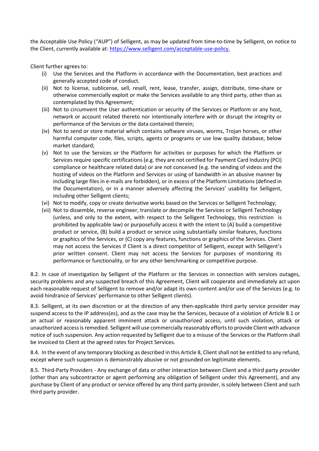the Acceptable Use Policy ("AUP") of Selligent, as may be updated from time-to-time by Selligent, on notice to the Client, currently available at: [https://www.selligent.com/acceptable-use-policy.](https://www.selligent.com/acceptable-use-policy)

Client further agrees to:

- (i) Use the Services and the Platform in accordance with the Documentation, best practices and generally accepted code of conduct.
- (ii) Not to license, sublicense, sell, resell, rent, lease, transfer, assign, distribute, time-share or otherwise commercially exploit or make the Services available to any third party, other than as contemplated by this Agreement;
- (iii) Not to circumvent the User authentication or security of the Services or Platform or any host, network or account related thereto nor intentionally interfere with or disrupt the integrity or performance of the Services or the data contained therein;
- (iv) Not to send or store material which contains software viruses, worms, Trojan horses, or other harmful computer code, files, scripts, agents or programs or use low quality database, below market standard;
- (v) Not to use the Services or the Platform for activities or purposes for which the Platform or Services require specific certifications (e.g. they are not certified for Payment Card Industry (PCI) compliance or healthcare related data) or are not conceived (e.g. the sending of videos and the hosting of videos on the Platform and Services or using of bandwidth in an abusive manner by including large files in e-mails are forbidden), or in excess of the Platform Limitations (defined in the Documentation), or in a manner adversely affecting the Services' usability for Selligent, including other Selligent clients;
- (vi) Not to modify, copy or create derivative works based on the Services or Selligent Technology;
- (vii) Not to dissemble, reverse engineer, translate or decompile the Services or Selligent Technology (unless, and only to the extent, with respect to the Selligent Technology, this restriction is prohibited by applicable law) or purposefully access it with the intent to (A) build a competitive product or service, (B) build a product or service using substantially similar features, functions or graphics of the Services, or (C) copy any features, functions or graphics of the Services. Client may not access the Services if Client is a direct competitor of Selligent, except with Selligent's prior written consent. Client may not access the Services for purposes of monitoring its performance or functionality, or for any other benchmarking or competitive purpose.

8.2. In case of investigation by Selligent of the Platform or the Services in connection with services outages, security problems and any suspected breach of this Agreement, Client will cooperate and immediately act upon each reasonable request of Selligent to remove and/or adapt its own content and/or use of the Services (e.g. to avoid hindrance of Services' performance to other Selligent clients).

8.3. Selligent, at its own discretion or at the direction of any then-applicable third party service provider may suspend access to the IP address(es), and as the case may be the Services, because of a violation of Article 8.1 or an actual or reasonably apparent imminent attack or unauthorized access, until such violation, attack or unauthorized access is remedied. Selligent will use commercially reasonably efforts to provide Client with advance notice of such suspension. Any action requested by Selligent due to a misuse of the Services or the Platform shall be invoiced to Client at the agreed rates for Project Services.

8.4. In the event of any temporary blocking as described in this Article 8, Client shall not be entitled to any refund, except where such suspension is demonstrably abusive or not grounded on legitimate elements.

8.5. Third-Party Providers - Any exchange of data or other interaction between Client and a third party provider (other than any subcontractor or agent performing any obligation of Selligent under this Agreement), and any purchase by Client of any product or service offered by any third party provider, is solely between Client and such third party provider.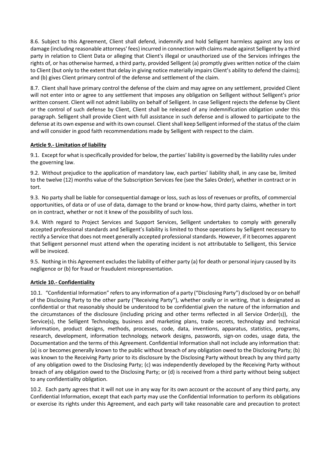8.6. Subject to this Agreement, Client shall defend, indemnify and hold Selligent harmless against any loss or damage (including reasonable attorneys' fees) incurred in connection with claims made against Selligent by a third party in relation to Client Data or alleging that Client's illegal or unauthorized use of the Services infringes the rights of, or has otherwise harmed, a third party, provided Selligent (a) promptly gives written notice of the claim to Client (but only to the extent that delay in giving notice materially impairs Client's ability to defend the claims); and (b) gives Client primary control of the defense and settlement of the claim.

8.7. Client shall have primary control the defense of the claim and may agree on any settlement, provided Client will not enter into or agree to any settlement that imposes any obligation on Selligent without Selligent's prior written consent. Client will not admit liability on behalf of Selligent. In case Selligent rejects the defense by Client or the control of such defense by Client, Client shall be released of any indemnification obligation under this paragraph. Selligent shall provide Client with full assistance in such defense and is allowed to participate to the defense at its own expense and with its own counsel. Client shall keep Selligent informed of the status of the claim and will consider in good faith recommendations made by Selligent with respect to the claim.

# **Article 9.- Limitation of liability**

9.1. Except for what is specifically provided for below, the parties' liability is governed by the liability rules under the governing law.

9.2. Without prejudice to the application of mandatory law, each parties' liability shall, in any case be, limited to the twelve (12) months value of the Subscription Services fee (see the Sales Order), whether in contract or in tort.

9.3. No party shall be liable for consequential damage or loss, such as loss of revenues or profits, of commercial opportunities, of data or of use of data, damage to the brand or know-how, third party claims, whether in tort on in contract, whether or not it knew of the possibility of such loss.

9.4. With regard to Project Services and Support Services, Selligent undertakes to comply with generally accepted professional standards and Selligent's liability is limited to those operations by Selligent necessary to rectify a Service that does not meet generally accepted professional standards. However, if it becomes apparent that Selligent personnel must attend when the operating incident is not attributable to Selligent, this Service will be invoiced.

9.5. Nothing in this Agreement excludes the liability of either party (a) for death or personal injury caused by its negligence or (b) for fraud or fraudulent misrepresentation.

# **Article 10.- Confidentiality**

10.1. "Confidential Information" refers to any information of a party ("Disclosing Party") disclosed by or on behalf of the Disclosing Party to the other party ("Receiving Party"), whether orally or in writing, that is designated as confidential or that reasonably should be understood to be confidential given the nature of the information and the circumstances of the disclosure (including pricing and other terms reflected in all Service Order(s)), the Service(s), the Selligent Technology, business and marketing plans, trade secrets, technology and technical information, product designs, methods, processes, code, data, inventions, apparatus, statistics, programs, research, development, information technology, network designs, passwords, sign-on codes, usage data, the Documentation and the terms of this Agreement. Confidential Information shall not include any information that: (a) is or becomes generally known to the public without breach of any obligation owed to the Disclosing Party; (b) was known to the Receiving Party prior to its disclosure by the Disclosing Party without breach by any third party of any obligation owed to the Disclosing Party; (c) was independently developed by the Receiving Party without breach of any obligation owed to the Disclosing Party; or (d) is received from a third party without being subject to any confidentiality obligation.

10.2. Each party agrees that it will not use in any way for its own account or the account of any third party, any Confidential Information, except that each party may use the Confidential Information to perform its obligations or exercise its rights under this Agreement, and each party will take reasonable care and precaution to protect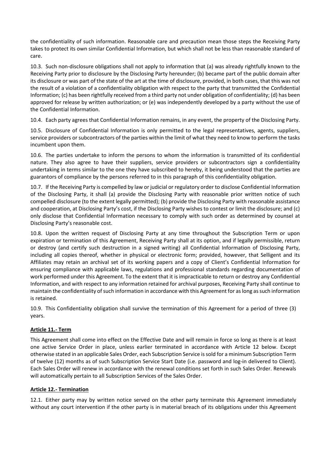the confidentiality of such information. Reasonable care and precaution mean those steps the Receiving Party takes to protect its own similar Confidential Information, but which shall not be less than reasonable standard of care.

10.3. Such non-disclosure obligations shall not apply to information that (a) was already rightfully known to the Receiving Party prior to disclosure by the Disclosing Party hereunder; (b) became part of the public domain after its disclosure or was part of the state of the art at the time of disclosure, provided, in both cases, that this was not the result of a violation of a confidentiality obligation with respect to the party that transmitted the Confidential Information; (c) has been rightfully received from a third party not under obligation of confidentiality; (d) has been approved for release by written authorization; or (e) was independently developed by a party without the use of the Confidential Information.

10.4. Each party agrees that Confidential Information remains, in any event, the property of the Disclosing Party.

10.5. Disclosure of Confidential Information is only permitted to the legal representatives, agents, suppliers, service providers or subcontractors of the parties within the limit of what they need to know to perform the tasks incumbent upon them.

10.6. The parties undertake to inform the persons to whom the information is transmitted of its confidential nature. They also agree to have their suppliers, service providers or subcontractors sign a confidentiality undertaking in terms similar to the one they have subscribed to hereby, it being understood that the parties are guarantors of compliance by the persons referred to in this paragraph of this confidentiality obligation.

10.7. If the Receiving Party is compelled by law or judicial or regulatory order to disclose Confidential Information of the Disclosing Party, it shall (a) provide the Disclosing Party with reasonable prior written notice of such compelled disclosure (to the extent legally permitted); (b) provide the Disclosing Party with reasonable assistance and cooperation, at Disclosing Party's cost, if the Disclosing Party wishes to contest or limit the disclosure; and (c) only disclose that Confidential Information necessary to comply with such order as determined by counsel at Disclosing Party's reasonable cost.

10.8. Upon the written request of Disclosing Party at any time throughout the Subscription Term or upon expiration or termination of this Agreement, Receiving Party shall at its option, and if legally permissible, return or destroy (and certify such destruction in a signed writing) all Confidential Information of Disclosing Party, including all copies thereof, whether in physical or electronic form; provided, however, that Selligent and its Affiliates may retain an archival set of its working papers and a copy of Client's Confidential Information for ensuring compliance with applicable laws, regulations and professional standards regarding documentation of work performed under this Agreement. To the extent that it is impracticable to return or destroy any Confidential Information, and with respect to any information retained for archival purposes, Receiving Party shall continue to maintain the confidentiality of such information in accordance with this Agreement for as long as such information is retained.

10.9. This Confidentiality obligation shall survive the termination of this Agreement for a period of three (3) years.

# **Article 11.- Term**

This Agreement shall come into effect on the Effective Date and will remain in force so long as there is at least one active Service Order in place, unless earlier terminated in accordance with Article 12 below. Except otherwise stated in an applicable Sales Order, each Subscription Service is sold for a minimum Subscription Term of twelve (12) months as of such Subscription Service Start Date (i.e. password and log-in delivered to Client). Each Sales Order will renew in accordance with the renewal conditions set forth in such Sales Order. Renewals will automatically pertain to all Subscription Services of the Sales Order.

# **Article 12.- Termination**

12.1. Either party may by written notice served on the other party terminate this Agreement immediately without any court intervention if the other party is in material breach of its obligations under this Agreement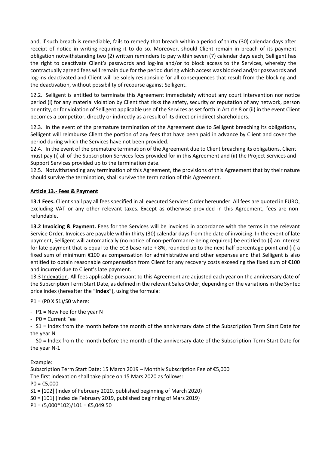and, if such breach is remediable, fails to remedy that breach within a period of thirty (30) calendar days after receipt of notice in writing requiring it to do so. Moreover, should Client remain in breach of its payment obligation notwithstanding two (2) written reminders to pay within seven (7) calendar days each, Selligent has the right to deactivate Client's passwords and log-ins and/or to block access to the Services, whereby the contractually agreed fees will remain due for the period during which access was blocked and/or passwords and log-ins deactivated and Client will be solely responsible for all consequences that result from the blocking and the deactivation, without possibility of recourse against Selligent.

12.2. Selligent is entitled to terminate this Agreement immediately without any court intervention nor notice period (i) for any material violation by Client that risks the safety, security or reputation of any network, person or entity, or for violation of Selligent applicable use of the Services as set forth in Article 8 or (ii) in the event Client becomes a competitor, directly or indirectly as a result of its direct or indirect shareholders.

12.3. In the event of the premature termination of the Agreement due to Selligent breaching its obligations, Selligent will reimburse Client the portion of any fees that have been paid in advance by Client and cover the period during which the Services have not been provided.

12.4. In the event of the premature termination of the Agreement due to Client breaching its obligations, Client must pay (i) all of the Subscription Services fees provided for in this Agreement and (ii) the Project Services and Support Services provided up to the termination date.

12.5. Notwithstanding any termination of this Agreement, the provisions of this Agreement that by their nature should survive the termination, shall survive the termination of this Agreement.

# **Article 13.- Fees & Payment**

**13.1 Fees.** Client shall pay all fees specified in all executed Services Order hereunder. All fees are quoted in EURO, excluding VAT or any other relevant taxes. Except as otherwise provided in this Agreement, fees are nonrefundable.

**13.2 Invoicing & Payment.** Fees for the Services will be invoiced in accordance with the terms in the relevant Service Order. Invoices are payable within thirty (30) calendar days from the date of invoicing. In the event of late payment, Selligent will automatically (no notice of non-performance being required) be entitled to (i) an interest for late payment that is equal to the ECB base rate + 8%, rounded up to the next half percentage point and (ii) a fixed sum of minimum €100 as compensation for administrative and other expenses and that Selligent is also entitled to obtain reasonable compensation from Client for any recovery costs exceeding the fixed sum of €100 and incurred due to Client's late payment.

13.3 Indexation. All fees applicable pursuant to this Agreement are adjusted each year on the anniversary date of the Subscription Term Start Date, as defined in the relevant Sales Order, depending on the variations in the Syntec price index (hereafter the "**Index**"), using the formula:

P1 = (P0 X S1)/S0 where:

- P1 = New Fee for the year N

- P0 = Current Fee

- S1 = Index from the month before the month of the anniversary date of the Subscription Term Start Date for the year N

- S0 = Index from the month before the month of the anniversary date of the Subscription Term Start Date for the year N-1

Example:

Subscription Term Start Date: 15 March 2019 – Monthly Subscription Fee of €5,000 The first indexation shall take place on 15 Mars 2020 as follows:  $PO = £5,000$ 

S1 = [102] (index of February 2020, published beginning of March 2020)

S0 = [101] (index de February 2019, published beginning of Mars 2019)

P1 =  $(5,000*102)/101$  = €5,049.50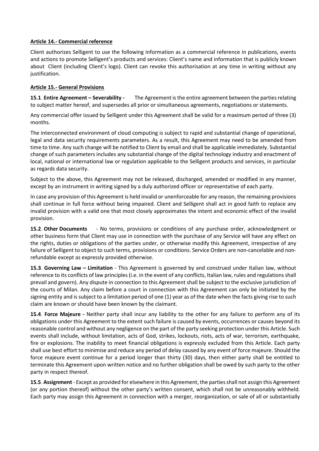#### **Article 14.- Commercial reference**

Client authorizes Selligent to use the following information as a commercial reference in publications, events and actions to promote Selligent's products and services: Client's name and information that is publicly known about Client (including Client's logo). Client can revoke this authorisation at any time in writing without any justification.

#### **Article 15.- General Provisions**

**15.1**. **Entire Agreement – Severability -** The Agreement is the entire agreement between the parties relating to subject matter hereof, and supersedes all prior or simultaneous agreements, negotiations or statements.

Any commercial offer issued by Selligent under this Agreement shall be valid for a maximum period of three (3) months.

The interconnected environment of cloud computing is subject to rapid and substantial change of operational, legal and data security requirements parameters. As a result, this Agreement may need to be amended from time to time. Any such change will be notified to Client by email and shall be applicable immediately. Substantial change of such parameters includes any substantial change of the digital technology industry and enactment of local, national or international law or regulation applicable to the Selligent products and services, in particular as regards data security.

Subject to the above, this Agreement may not be released, discharged, amended or modified in any manner, except by an instrument in writing signed by a duly authorized officer or representative of each party.

In case any provision of this Agreement is held invalid or unenforceable for any reason, the remaining provisions shall continue in full force without being impaired. Client and Selligent shall act in good faith to replace any invalid provision with a valid one that most closely approximates the intent and economic effect of the invalid provision.

**15.2**. **Other Documents** - No terms, provisions or conditions of any purchase order, acknowledgment or other business form that Client may use in connection with the purchase of any Service will have any effect on the rights, duties or obligations of the parties under, or otherwise modify this Agreement, irrespective of any failure of Selligent to object to such terms, provisions or conditions. Service Orders are non-cancelable and nonrefundable except as expressly provided otherwise.

**15.3**. **Governing Law – Limitation** - This Agreement is governed by and construed under Italian law, without reference to its conflicts of law principles (i.e. in the event of any conflicts, Italian law, rules and regulations shall prevail and govern). Any dispute in connection to this Agreement shall be subject to the exclusive jurisdiction of the courts of Milan. Any claim before a court in connection with this Agreement can only be initiated by the signing entity and is subject to a limitation period of one (1) year as of the date when the facts giving rise to such claim are known or should have been known by the claimant.

**15.4**. **Force Majeure -** Neither party shall incur any liability to the other for any failure to perform any of its obligations under this Agreement to the extent such failure is caused by events, occurrences or causes beyond its reasonable control and without any negligence on the part of the party seeking protection under this Article. Such events shall include, without limitation, acts of God, strikes, lockouts, riots, acts of war, terrorism, earthquake, fire or explosions. The inability to meet financial obligations is expressly excluded from this Article. Each party shall use best effort to minimise and reduce any period of delay caused by any event of force majeure. Should the force majeure event continue for a period longer than thirty (30) days, then either party shall be entitled to terminate this Agreement upon written notice and no further obligation shall be owed by such party to the other party in respect thereof.

**15.5**. **Assignment** - Except as provided for elsewhere in this Agreement, the parties shall not assign this Agreement (or any portion thereof) without the other party's written consent, which shall not be unreasonably withheld. Each party may assign this Agreement in connection with a merger, reorganization, or sale of all or substantially